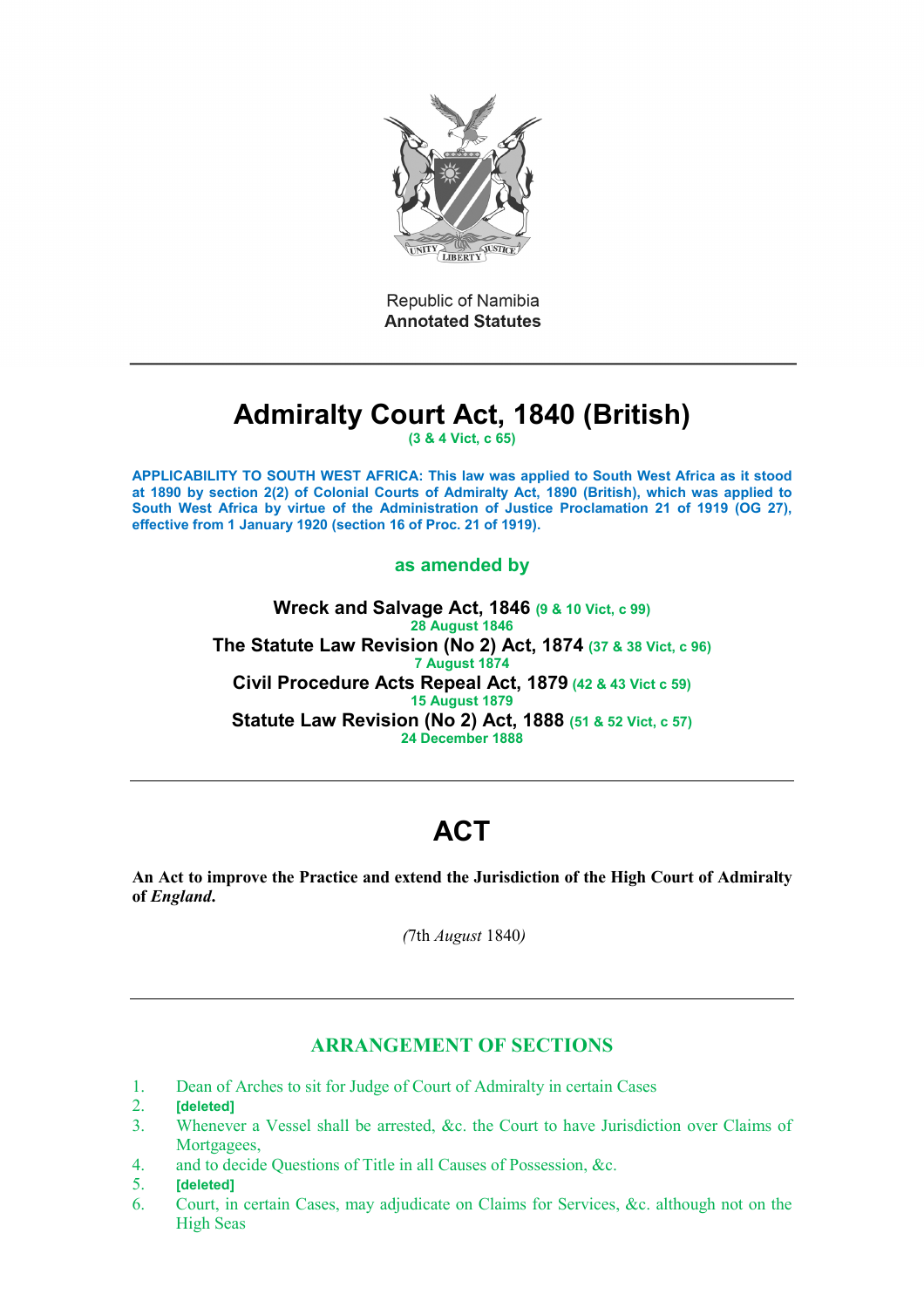

Republic of Namibia **Annotated Statutes** 

# **Admiralty Court Act, 1840 (British)**

**(3 & 4 Vict, c 65)**

**APPLICABILITY TO SOUTH WEST AFRICA: This law was applied to South West Africa as it stood at 1890 by section 2(2) of Colonial Courts of Admiralty Act, 1890 (British), which was applied to South West Africa by virtue of the Administration of Justice Proclamation 21 of 1919 (OG 27), effective from 1 January 1920 (section 16 of Proc. 21 of 1919).**

# **as amended by**

**Wreck and Salvage Act, 1846 (9 & 10 Vict, c 99) 28 August 1846 The Statute Law Revision (No 2) Act, 1874 (37 & 38 Vict, c 96) 7 August 1874 Civil Procedure Acts Repeal Act, 1879 (42 & 43 Vict c 59) 15 August 1879 Statute Law Revision (No 2) Act, 1888 (51 & 52 Vict, c 57) 24 December 1888**

# **ACT**

**An Act to improve the Practice and extend the Jurisdiction of the High Court of Admiralty of** *England***.**

*(*7th *August* 1840*)*

# **ARRANGEMENT OF SECTIONS**

- 1. Dean of Arches to sit for Judge of Court of Admiralty in certain Cases<br>2. **Ideleted**
- 2. **[deleted]**
- 3. Whenever a Vessel shall be arrested, &c. the Court to have Jurisdiction over Claims of Mortgagees,
- 4. and to decide Questions of Title in all Causes of Possession, &c.
- 5. **[deleted]**
- 6. Court, in certain Cases, may adjudicate on Claims for Services, &c. although not on the High Seas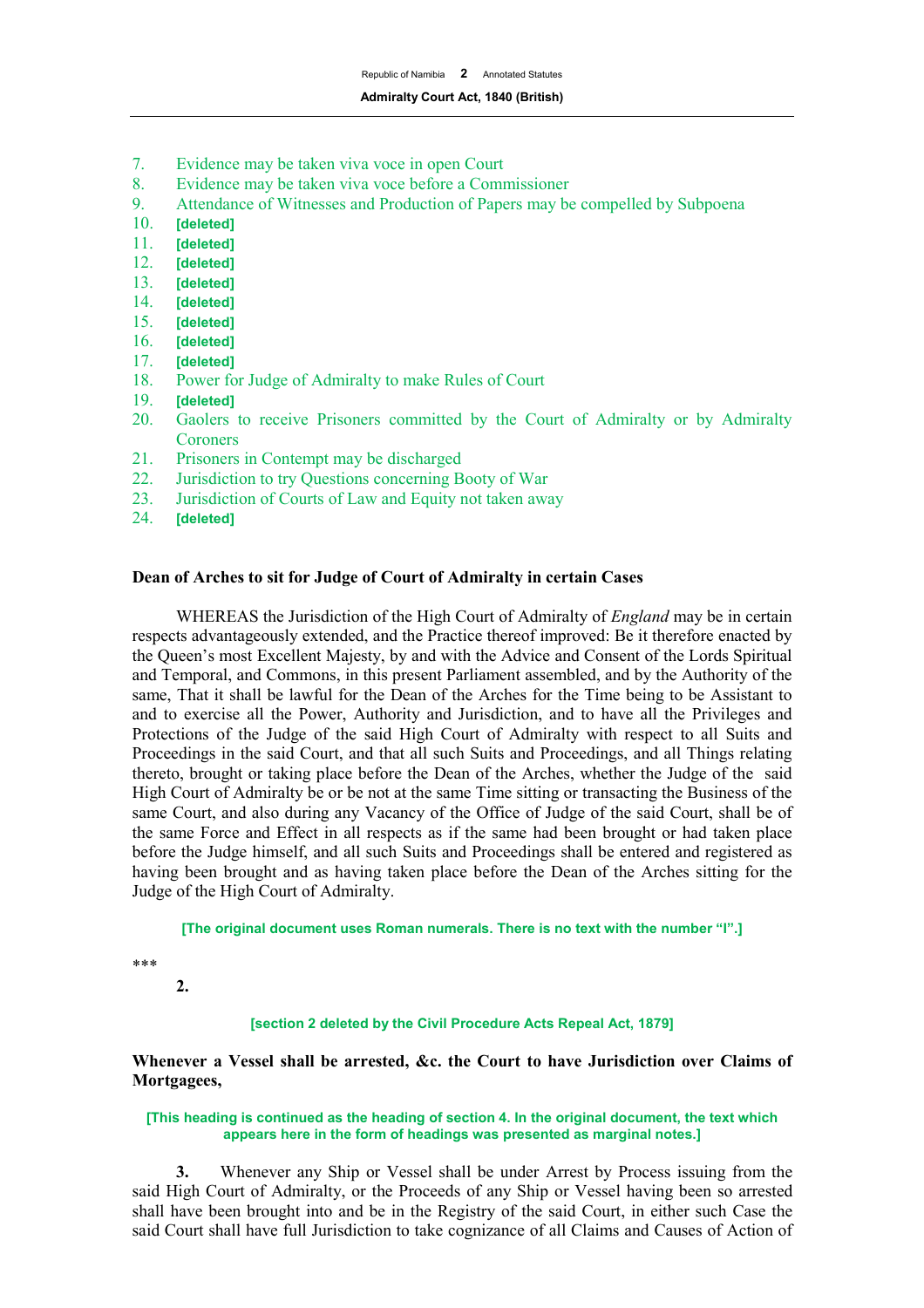- 7. Evidence may be taken viva voce in open Court
- 8. Evidence may be taken viva voce before a Commissioner
- 9. Attendance of Witnesses and Production of Papers may be compelled by Subpoena
- 10. **[deleted]**
- 11. **[deleted]**
- 12. **[deleted]**
- 13. **[deleted]**
- 14. **[deleted]**
- [deleted]
- 16. **[deleted]**
- 17. **[deleted]**
- 18. Power for Judge of Admiralty to make Rules of Court<br>19. **[deleted]**
- 19. **[deleted]**
- 20. Gaolers to receive Prisoners committed by the Court of Admiralty or by Admiralty **Coroners**
- 21. Prisoners in Contempt may be discharged
- 22. Jurisdiction to try Questions concerning Booty of War
- 23. Jurisdiction of Courts of Law and Equity not taken away
- 24. **[deleted]**

# **Dean of Arches to sit for Judge of Court of Admiralty in certain Cases**

WHEREAS the Jurisdiction of the High Court of Admiralty of *England* may be in certain respects advantageously extended, and the Practice thereof improved: Be it therefore enacted by the Queen's most Excellent Majesty, by and with the Advice and Consent of the Lords Spiritual and Temporal, and Commons, in this present Parliament assembled, and by the Authority of the same, That it shall be lawful for the Dean of the Arches for the Time being to be Assistant to and to exercise all the Power, Authority and Jurisdiction, and to have all the Privileges and Protections of the Judge of the said High Court of Admiralty with respect to all Suits and Proceedings in the said Court, and that all such Suits and Proceedings, and all Things relating thereto, brought or taking place before the Dean of the Arches, whether the Judge of the said High Court of Admiralty be or be not at the same Time sitting or transacting the Business of the same Court, and also during any Vacancy of the Office of Judge of the said Court, shall be of the same Force and Effect in all respects as if the same had been brought or had taken place before the Judge himself, and all such Suits and Proceedings shall be entered and registered as having been brought and as having taken place before the Dean of the Arches sitting for the Judge of the High Court of Admiralty.

**[The original document uses Roman numerals. There is no text with the number "I".]**

\*\*\*

**2.**

## **[section 2 deleted by the Civil Procedure Acts Repeal Act, 1879]**

**Whenever a Vessel shall be arrested, &c. the Court to have Jurisdiction over Claims of Mortgagees,**

#### **[This heading is continued as the heading of section 4. In the original document, the text which appears here in the form of headings was presented as marginal notes.]**

**3.** Whenever any Ship or Vessel shall be under Arrest by Process issuing from the said High Court of Admiralty, or the Proceeds of any Ship or Vessel having been so arrested shall have been brought into and be in the Registry of the said Court, in either such Case the said Court shall have full Jurisdiction to take cognizance of all Claims and Causes of Action of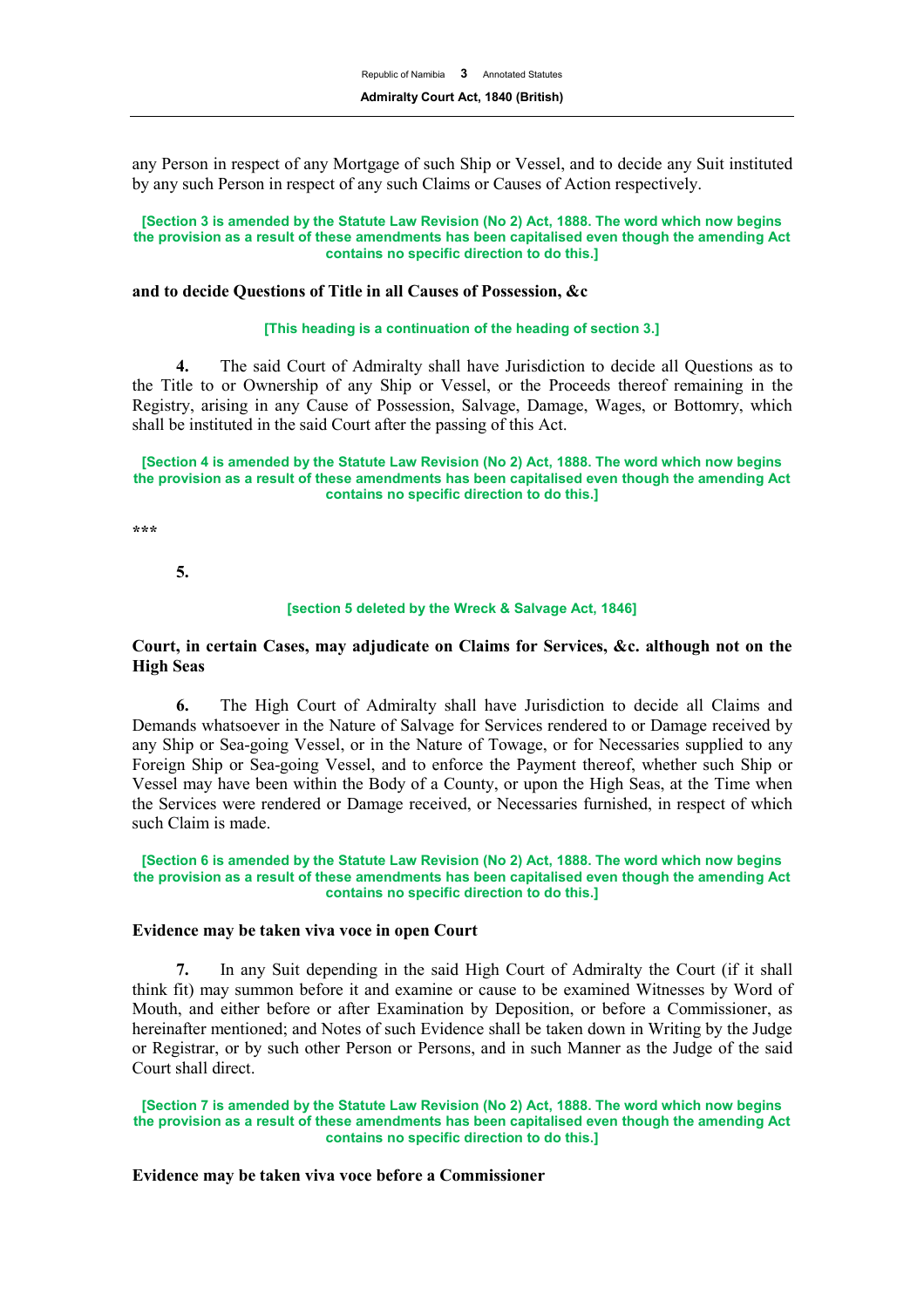any Person in respect of any Mortgage of such Ship or Vessel, and to decide any Suit instituted by any such Person in respect of any such Claims or Causes of Action respectively.

**[Section 3 is amended by the Statute Law Revision (No 2) Act, 1888. The word which now begins the provision as a result of these amendments has been capitalised even though the amending Act contains no specific direction to do this.]**

#### **and to decide Questions of Title in all Causes of Possession, &c**

#### **[This heading is a continuation of the heading of section 3.]**

**4.** The said Court of Admiralty shall have Jurisdiction to decide all Questions as to the Title to or Ownership of any Ship or Vessel, or the Proceeds thereof remaining in the Registry, arising in any Cause of Possession, Salvage, Damage, Wages, or Bottomry, which shall be instituted in the said Court after the passing of this Act.

#### **[Section 4 is amended by the Statute Law Revision (No 2) Act, 1888. The word which now begins the provision as a result of these amendments has been capitalised even though the amending Act contains no specific direction to do this.]**

**\*\*\*** 

**5.**

#### **[section 5 deleted by the Wreck & Salvage Act, 1846]**

# **Court, in certain Cases, may adjudicate on Claims for Services, &c. although not on the High Seas**

**6.** The High Court of Admiralty shall have Jurisdiction to decide all Claims and Demands whatsoever in the Nature of Salvage for Services rendered to or Damage received by any Ship or Sea-going Vessel, or in the Nature of Towage, or for Necessaries supplied to any Foreign Ship or Sea-going Vessel, and to enforce the Payment thereof, whether such Ship or Vessel may have been within the Body of a County, or upon the High Seas, at the Time when the Services were rendered or Damage received, or Necessaries furnished, in respect of which such Claim is made.

#### **[Section 6 is amended by the Statute Law Revision (No 2) Act, 1888. The word which now begins the provision as a result of these amendments has been capitalised even though the amending Act contains no specific direction to do this.]**

### **Evidence may be taken viva voce in open Court**

**7.** In any Suit depending in the said High Court of Admiralty the Court (if it shall think fit) may summon before it and examine or cause to be examined Witnesses by Word of Mouth, and either before or after Examination by Deposition, or before a Commissioner, as hereinafter mentioned; and Notes of such Evidence shall be taken down in Writing by the Judge or Registrar, or by such other Person or Persons, and in such Manner as the Judge of the said Court shall direct.

**[Section 7 is amended by the Statute Law Revision (No 2) Act, 1888. The word which now begins the provision as a result of these amendments has been capitalised even though the amending Act contains no specific direction to do this.]**

#### **Evidence may be taken viva voce before a Commissioner**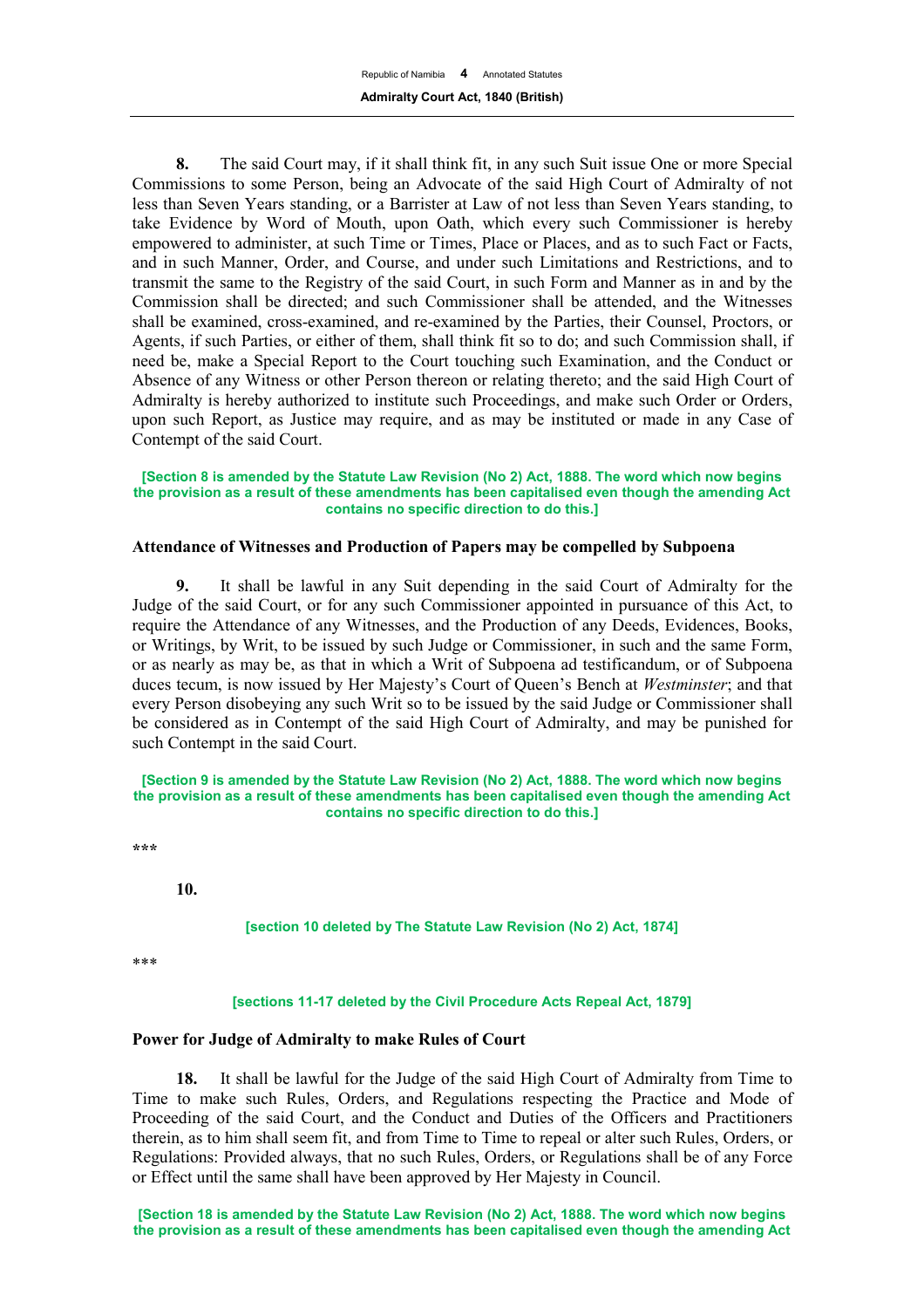**8.** The said Court may, if it shall think fit, in any such Suit issue One or more Special Commissions to some Person, being an Advocate of the said High Court of Admiralty of not less than Seven Years standing, or a Barrister at Law of not less than Seven Years standing, to take Evidence by Word of Mouth, upon Oath, which every such Commissioner is hereby empowered to administer, at such Time or Times, Place or Places, and as to such Fact or Facts, and in such Manner, Order, and Course, and under such Limitations and Restrictions, and to transmit the same to the Registry of the said Court, in such Form and Manner as in and by the Commission shall be directed; and such Commissioner shall be attended, and the Witnesses shall be examined, cross-examined, and re-examined by the Parties, their Counsel, Proctors, or Agents, if such Parties, or either of them, shall think fit so to do; and such Commission shall, if need be, make a Special Report to the Court touching such Examination, and the Conduct or Absence of any Witness or other Person thereon or relating thereto; and the said High Court of Admiralty is hereby authorized to institute such Proceedings, and make such Order or Orders, upon such Report, as Justice may require, and as may be instituted or made in any Case of Contempt of the said Court.

#### **[Section 8 is amended by the Statute Law Revision (No 2) Act, 1888. The word which now begins the provision as a result of these amendments has been capitalised even though the amending Act contains no specific direction to do this.]**

# **Attendance of Witnesses and Production of Papers may be compelled by Subpoena**

**9.** It shall be lawful in any Suit depending in the said Court of Admiralty for the Judge of the said Court, or for any such Commissioner appointed in pursuance of this Act, to require the Attendance of any Witnesses, and the Production of any Deeds, Evidences, Books, or Writings, by Writ, to be issued by such Judge or Commissioner, in such and the same Form, or as nearly as may be, as that in which a Writ of Subpoena ad testificandum, or of Subpoena duces tecum, is now issued by Her Majesty's Court of Queen's Bench at *Westminster*; and that every Person disobeying any such Writ so to be issued by the said Judge or Commissioner shall be considered as in Contempt of the said High Court of Admiralty, and may be punished for such Contempt in the said Court.

#### **[Section 9 is amended by the Statute Law Revision (No 2) Act, 1888. The word which now begins the provision as a result of these amendments has been capitalised even though the amending Act contains no specific direction to do this.]**

**\*\*\*** 

**10.**

**[section 10 deleted by The Statute Law Revision (No 2) Act, 1874]**

\*\*\*

#### **[sections 11-17 deleted by the Civil Procedure Acts Repeal Act, 1879]**

#### **Power for Judge of Admiralty to make Rules of Court**

**18.** It shall be lawful for the Judge of the said High Court of Admiralty from Time to Time to make such Rules, Orders, and Regulations respecting the Practice and Mode of Proceeding of the said Court, and the Conduct and Duties of the Officers and Practitioners therein, as to him shall seem fit, and from Time to Time to repeal or alter such Rules, Orders, or Regulations: Provided always, that no such Rules, Orders, or Regulations shall be of any Force or Effect until the same shall have been approved by Her Majesty in Council.

**[Section 18 is amended by the Statute Law Revision (No 2) Act, 1888. The word which now begins the provision as a result of these amendments has been capitalised even though the amending Act**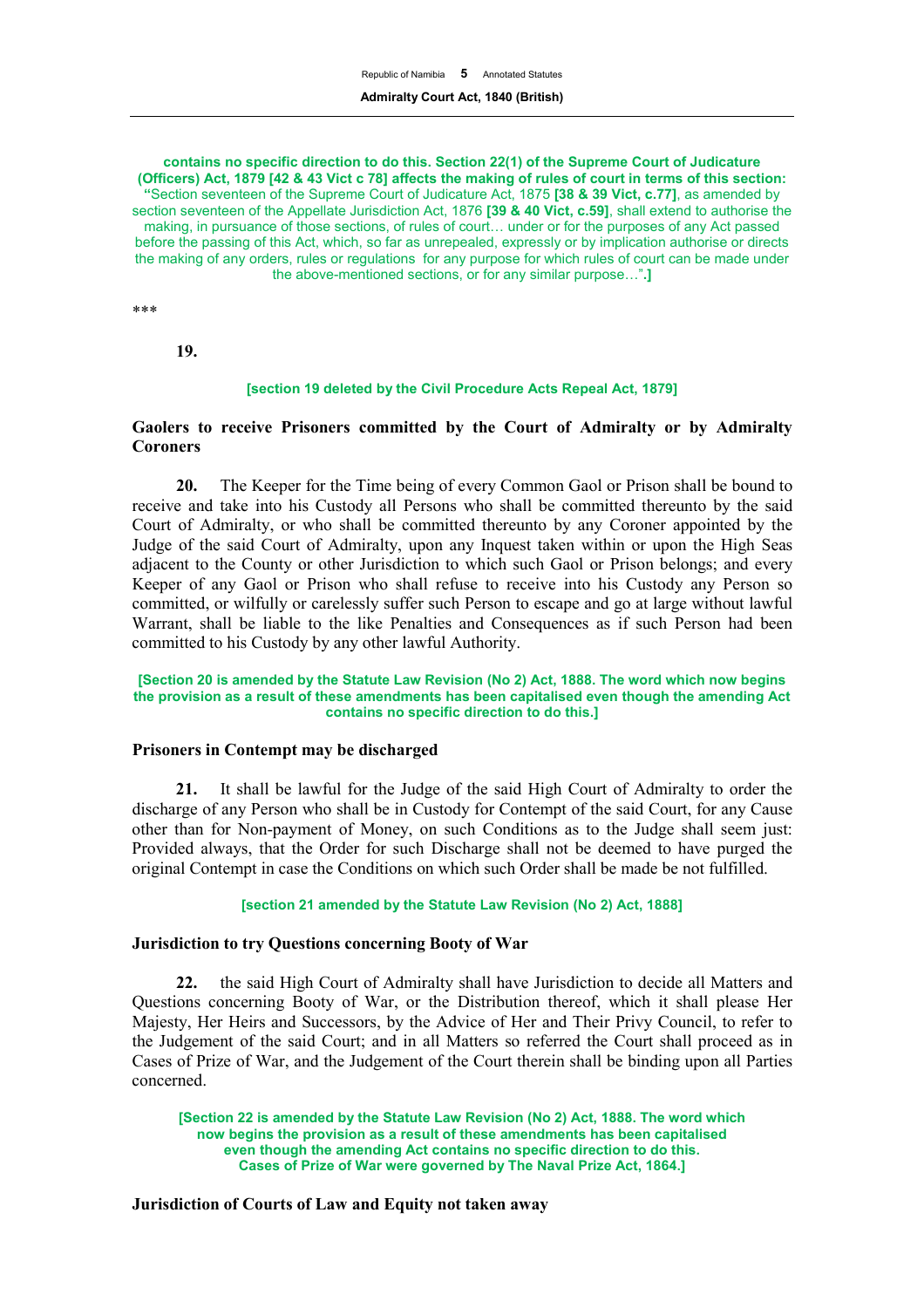**contains no specific direction to do this. Section 22(1) of the Supreme Court of Judicature (Officers) Act, 1879 [42 & 43 Vict c 78] affects the making of rules of court in terms of this section: "**Section seventeen of the Supreme Court of Judicature Act, 1875 **[38 & 39 Vict, c.77]**, as amended by section seventeen of the Appellate Jurisdiction Act, 1876 **[39 & 40 Vict, c.59]**, shall extend to authorise the making, in pursuance of those sections, of rules of court… under or for the purposes of any Act passed before the passing of this Act, which, so far as unrepealed, expressly or by implication authorise or directs the making of any orders, rules or regulations for any purpose for which rules of court can be made under the above-mentioned sections, or for any similar purpose…"**.]**

\*\*\*

**19.**

#### **[section 19 deleted by the Civil Procedure Acts Repeal Act, 1879]**

# **Gaolers to receive Prisoners committed by the Court of Admiralty or by Admiralty Coroners**

**20.** The Keeper for the Time being of every Common Gaol or Prison shall be bound to receive and take into his Custody all Persons who shall be committed thereunto by the said Court of Admiralty, or who shall be committed thereunto by any Coroner appointed by the Judge of the said Court of Admiralty, upon any Inquest taken within or upon the High Seas adjacent to the County or other Jurisdiction to which such Gaol or Prison belongs; and every Keeper of any Gaol or Prison who shall refuse to receive into his Custody any Person so committed, or wilfully or carelessly suffer such Person to escape and go at large without lawful Warrant, shall be liable to the like Penalties and Consequences as if such Person had been committed to his Custody by any other lawful Authority.

#### **[Section 20 is amended by the Statute Law Revision (No 2) Act, 1888. The word which now begins the provision as a result of these amendments has been capitalised even though the amending Act contains no specific direction to do this.]**

## **Prisoners in Contempt may be discharged**

**21.** It shall be lawful for the Judge of the said High Court of Admiralty to order the discharge of any Person who shall be in Custody for Contempt of the said Court, for any Cause other than for Non-payment of Money, on such Conditions as to the Judge shall seem just: Provided always, that the Order for such Discharge shall not be deemed to have purged the original Contempt in case the Conditions on which such Order shall be made be not fulfilled.

### **[section 21 amended by the Statute Law Revision (No 2) Act, 1888]**

# **Jurisdiction to try Questions concerning Booty of War**

**22.** the said High Court of Admiralty shall have Jurisdiction to decide all Matters and Questions concerning Booty of War, or the Distribution thereof, which it shall please Her Majesty, Her Heirs and Successors, by the Advice of Her and Their Privy Council, to refer to the Judgement of the said Court; and in all Matters so referred the Court shall proceed as in Cases of Prize of War, and the Judgement of the Court therein shall be binding upon all Parties concerned.

**[Section 22 is amended by the Statute Law Revision (No 2) Act, 1888. The word which now begins the provision as a result of these amendments has been capitalised even though the amending Act contains no specific direction to do this. Cases of Prize of War were governed by The Naval Prize Act, 1864.]**

**Jurisdiction of Courts of Law and Equity not taken away**